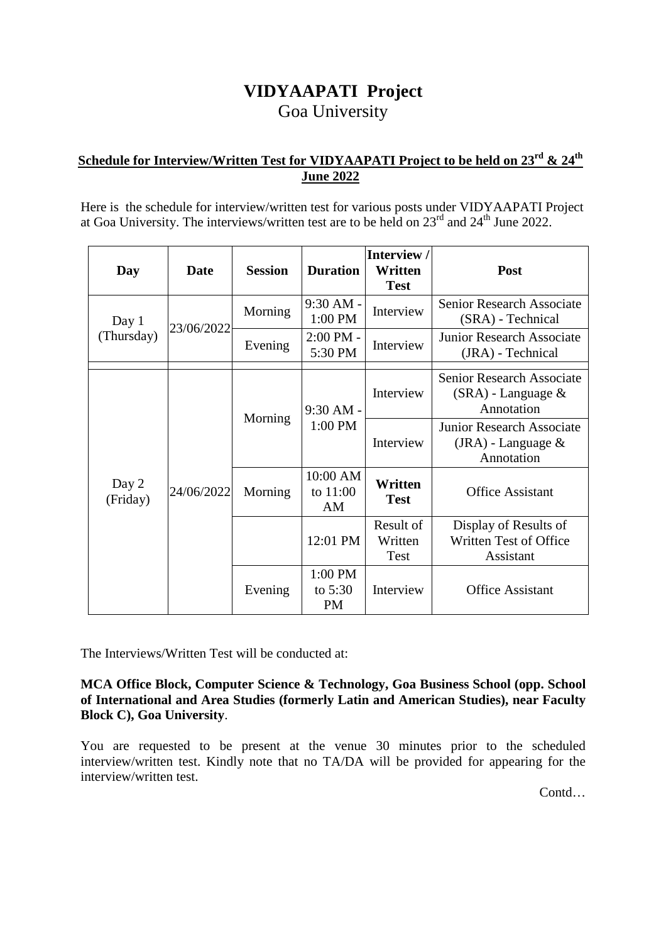# **VIDYAAPATI Project**  Goa University

## **Schedule for Interview/Written Test for VIDYAAPATI Project to be held on 23rd & 24th June 2022**

Here is the schedule for interview/written test for various posts under VIDYAAPATI Project at Goa University. The interviews/written test are to be held on  $23<sup>rd</sup>$  and  $24<sup>th</sup>$  June 2022.

| Day                 | Date       | <b>Session</b> | <b>Duration</b>                   | Interview /<br>Written<br><b>Test</b> | Post                                                                   |
|---------------------|------------|----------------|-----------------------------------|---------------------------------------|------------------------------------------------------------------------|
| Day 1<br>(Thursday) | 23/06/2022 | Morning        | 9:30 AM -<br>1:00 PM              | Interview                             | <b>Senior Research Associate</b><br>(SRA) - Technical                  |
|                     |            | Evening        | $2:00$ PM -<br>5:30 PM            | Interview                             | <b>Junior Research Associate</b><br>(JRA) - Technical                  |
| Day 2<br>(Friday)   | 24/06/2022 | Morning        | $9:30 AM -$<br>1:00 PM            | Interview                             | <b>Senior Research Associate</b><br>$(SRA)$ - Language &<br>Annotation |
|                     |            |                |                                   | Interview                             | <b>Junior Research Associate</b><br>$(JRA)$ - Language &<br>Annotation |
|                     |            | Morning        | 10:00 AM<br>to 11:00<br>ΑM        | Written<br><b>Test</b>                | <b>Office Assistant</b>                                                |
|                     |            |                | 12:01 PM                          | Result of<br>Written<br><b>Test</b>   | Display of Results of<br>Written Test of Office<br>Assistant           |
|                     |            | Evening        | 1:00 PM<br>to $5:30$<br><b>PM</b> | Interview                             | <b>Office Assistant</b>                                                |

The Interviews/Written Test will be conducted at:

**MCA Office Block, Computer Science & Technology, Goa Business School (opp. School of International and Area Studies (formerly Latin and American Studies), near Faculty Block C), Goa University**.

You are requested to be present at the venue 30 minutes prior to the scheduled interview/written test. Kindly note that no TA/DA will be provided for appearing for the interview/written test.

Contd…